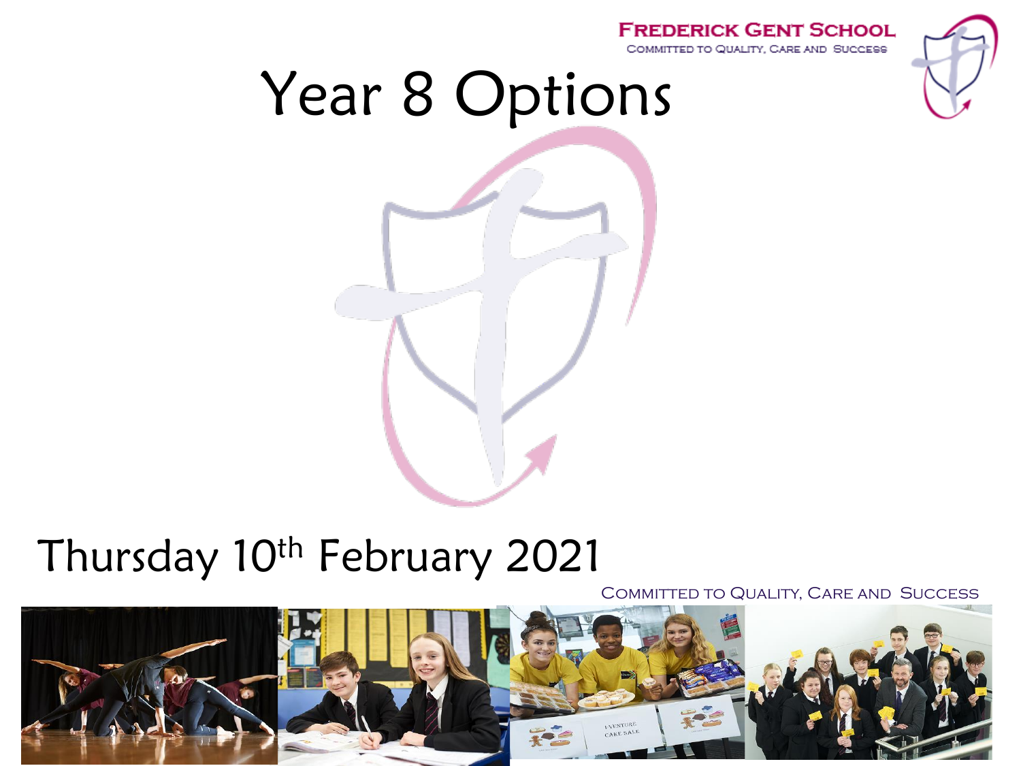### **FREDERICK GENT SCHOOL** COMMITTED TO QUALITY, CARE AND SUCCESS Year 8 Options

# Thursday 10<sup>th</sup> February 2021

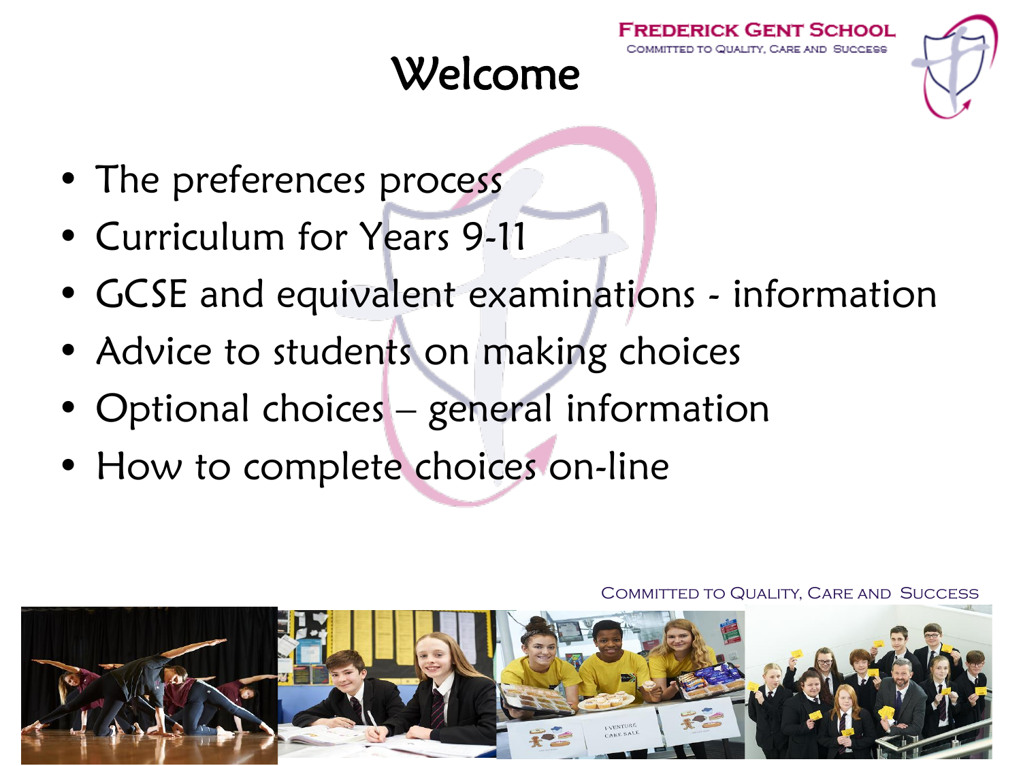# Welcome

- The preferences process
- Curriculum for Years 9-11
- GCSE and equivalent examinations information
- Advice to students on making choices
- Optional choices general information
- How to complete choices on-line

Committed to Quality, Care and Success

RICK GENT SCHOOL OUALITY CARE AND SUCCESS

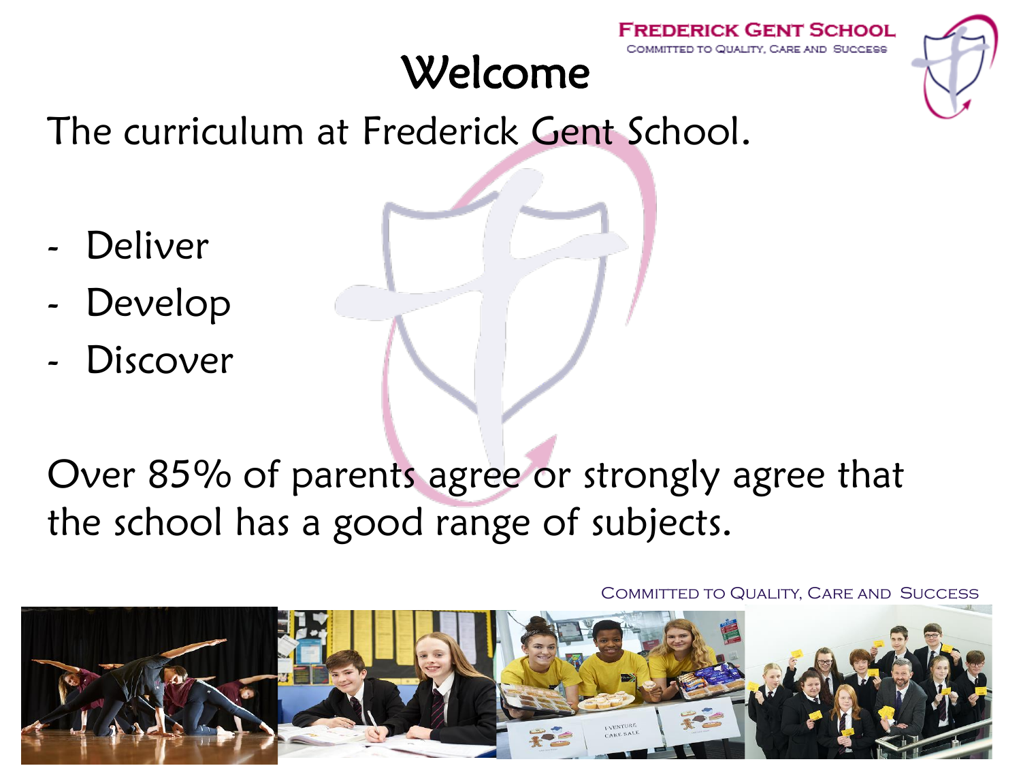# Welcome





The curriculum at Frederick Gent School.

- Deliver
- Develop
- **Discover**

## Over 85% of parents agree or strongly agree that the school has a good range of subjects.

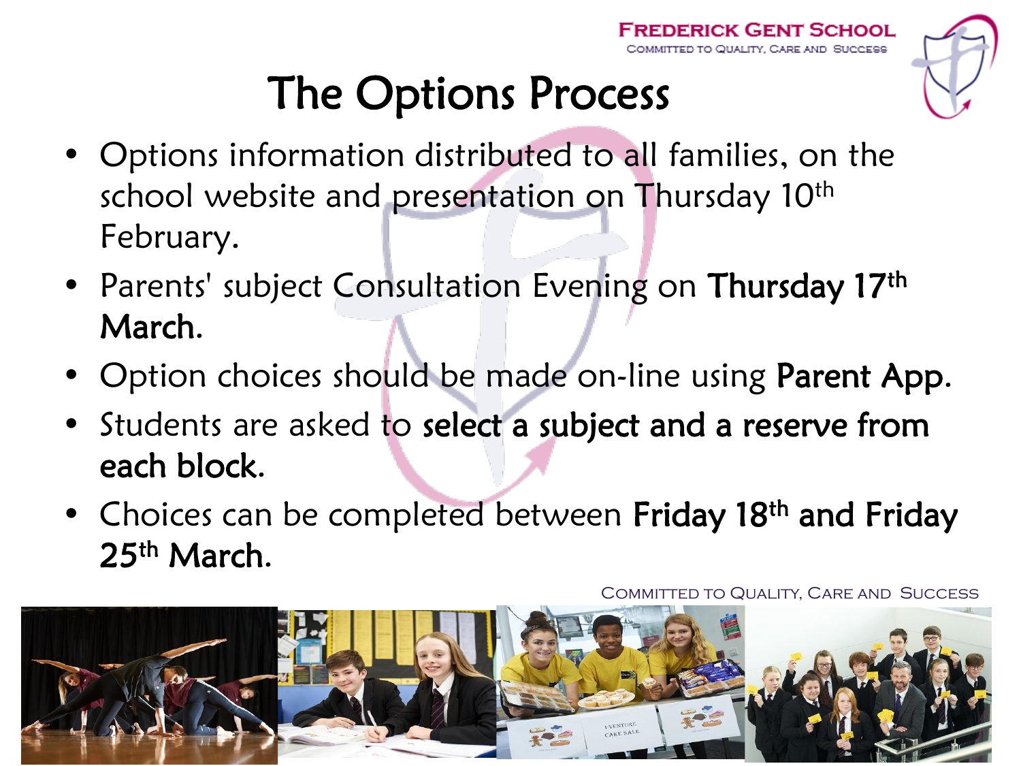# The Options Process

- Options information distributed to all families, on the school website and presentation on Thursday 10<sup>th</sup> February.
- Parents' subject Consultation Evening on Thursday 17th March.
- Option choices should be made on-line using Parent App.
- Students are asked to select a subject and a reserve from each block.
- Choices can be completed between Friday 18<sup>th</sup> and Friday 25<sup>th</sup> March.

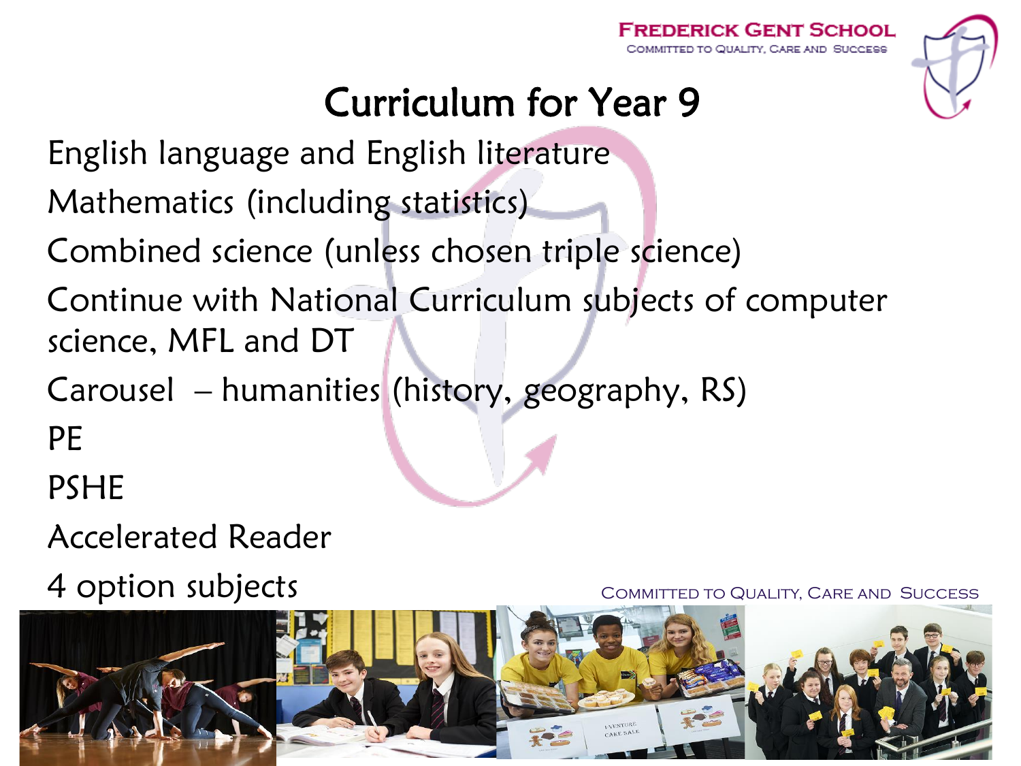

# Curriculum for Year 9

English language and English literature

Mathematics (including statistics)

Combined science (unless chosen triple science)

Continue with National Curriculum subjects of computer science, MFL and DT

Carousel – humanities (history, geography, RS)

PE

PSHE

Accelerated Reader

4 option subjects

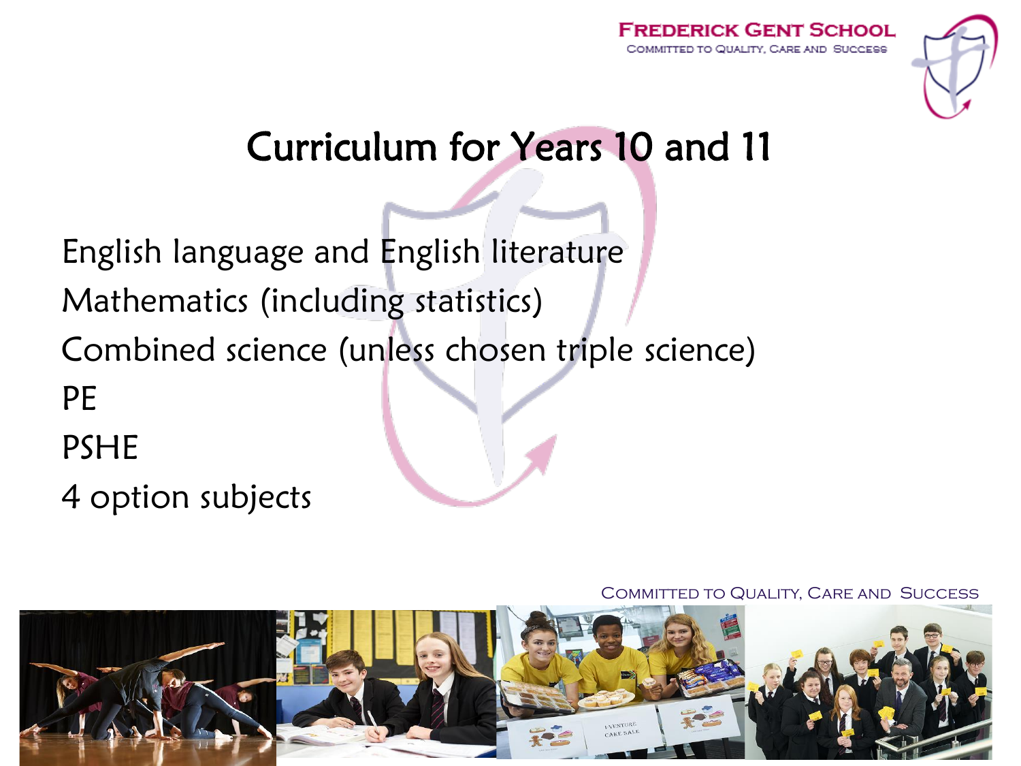



### Curriculum for Years 10 and 11

English language and English literature Mathematics (including statistics) Combined science (unless chosen triple science) PE PSHE 4 option subjects

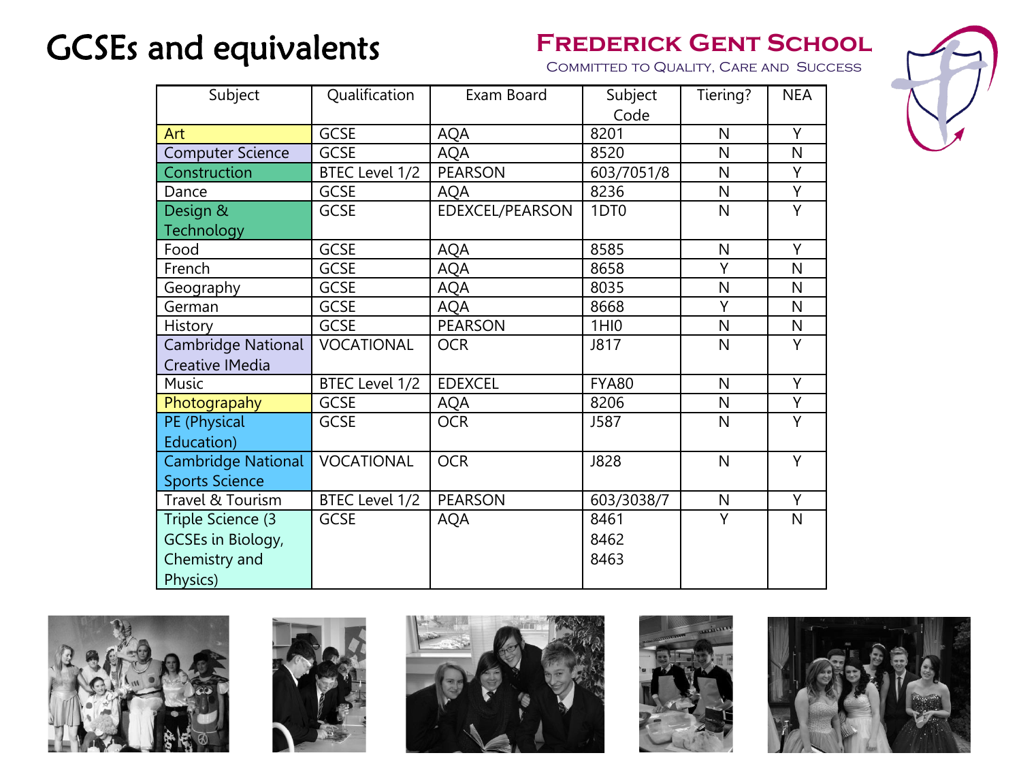### **GCSEs and equivalents** FREDERICK GENT SCHOOL



| Subject                   | Qualification     | Exam Board      | Subject          | Tiering?     | <b>NEA</b>     |
|---------------------------|-------------------|-----------------|------------------|--------------|----------------|
|                           |                   |                 | Code             |              |                |
| Art                       | <b>GCSE</b>       | AQA             | 8201             | $\mathsf{N}$ | Y              |
| <b>Computer Science</b>   | <b>GCSE</b>       | <b>AQA</b>      | 8520             | N            | N              |
| Construction              | BTEC Level 1/2    | <b>PEARSON</b>  | 603/7051/8       | N            | Υ              |
| Dance                     | <b>GCSE</b>       | <b>AQA</b>      | 8236             | N            | Ÿ              |
| Design &                  | <b>GCSE</b>       | EDEXCEL/PEARSON | 1DT <sub>0</sub> | N            | Υ              |
| Technology                |                   |                 |                  |              |                |
| Food                      | <b>GCSE</b>       | AQA             | 8585             | $\mathsf{N}$ | Υ              |
| French                    | <b>GCSE</b>       | AQA             | 8658             | Y            | N              |
| Geography                 | <b>GCSE</b>       | AQA             | 8035             | $\mathsf{N}$ | N              |
| German                    | <b>GCSE</b>       | AQA             | 8668             | Υ            | N              |
| History                   | <b>GCSE</b>       | <b>PEARSON</b>  | 1H10             | N            | N              |
| Cambridge National        | <b>VOCATIONAL</b> | <b>OCR</b>      | J817             | N            | Υ              |
| <b>Creative IMedia</b>    |                   |                 |                  |              |                |
| Music                     | BTEC Level 1/2    | <b>EDEXCEL</b>  | <b>FYA80</b>     | $\mathsf{N}$ | Ÿ              |
| Photograpahy              | <b>GCSE</b>       | AQA             | 8206             | N            | Y              |
| PE (Physical              | <b>GCSE</b>       | <b>OCR</b>      | J587             | $\mathsf{N}$ | Υ              |
| Education)                |                   |                 |                  |              |                |
| <b>Cambridge National</b> | <b>VOCATIONAL</b> | <b>OCR</b>      | <b>J828</b>      | N            | $\overline{Y}$ |
| <b>Sports Science</b>     |                   |                 |                  |              |                |
| Travel & Tourism          | BTEC Level 1/2    | <b>PEARSON</b>  | 603/3038/7       | $\mathsf{N}$ | Υ              |
| Triple Science (3         | <b>GCSE</b>       | <b>AQA</b>      | 8461             | Y            | N              |
| GCSEs in Biology,         |                   |                 | 8462             |              |                |
| Chemistry and             |                   |                 | 8463             |              |                |
| Physics)                  |                   |                 |                  |              |                |









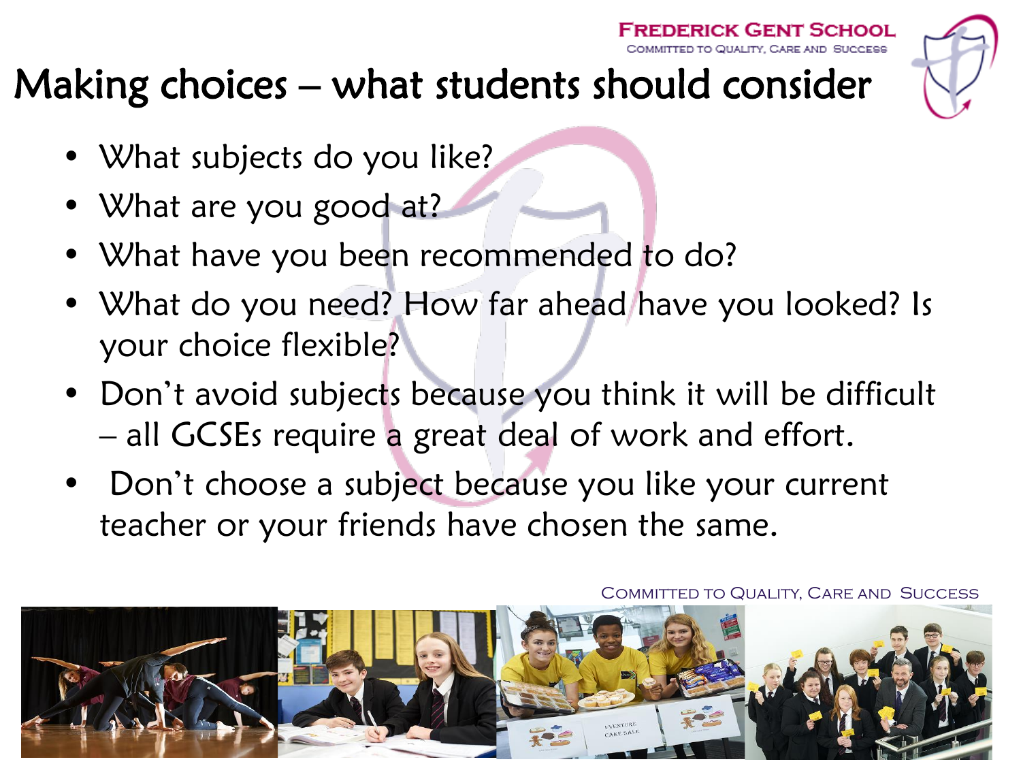

# Making choices – what students should consider

- What subjects do you like?
- What are you good at?
- What have you been recommended to do?
- What do you need? How far ahead have you looked? Is your choice flexible?
- Don't avoid subjects because you think it will be difficult – all GCSEs require a great deal of work and effort.
- Don't choose a subject because you like your current teacher or your friends have chosen the same.

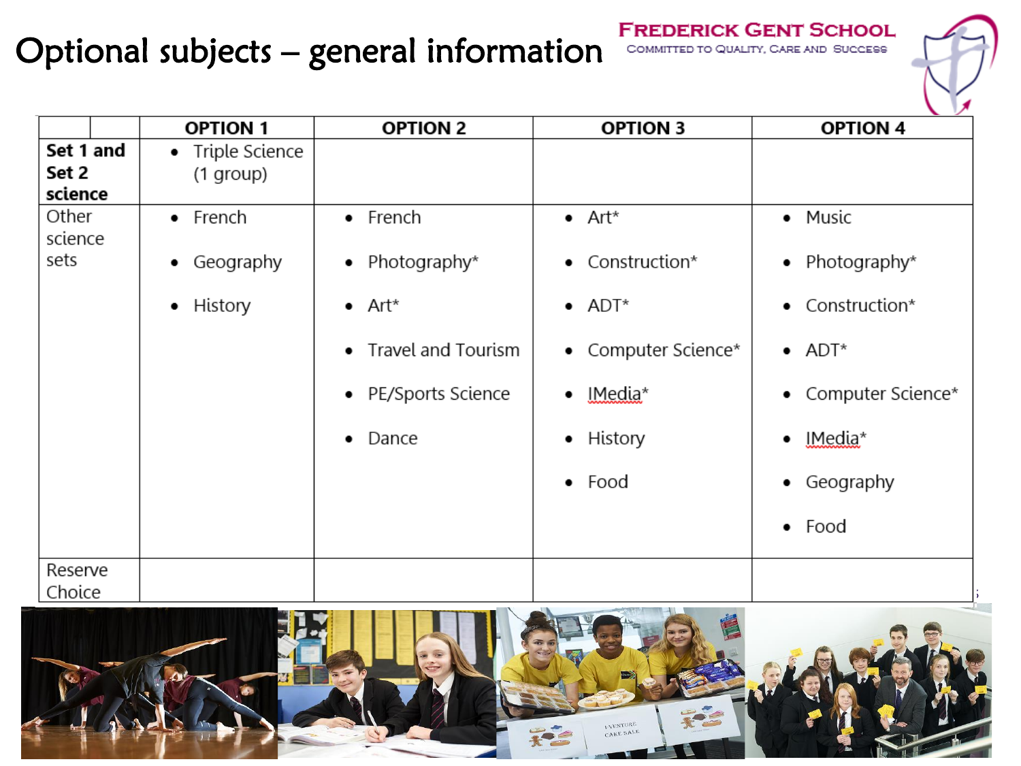### Optional subjects – general information

**FREDERICK GENT SCHOOL** COMMITTED TO QUALITY, CARE AND SUCCESS

|                  | <b>OPTION 1</b>  | <b>OPTION 2</b>         | <b>OPTION 3</b>     | $\sim$<br><b>OPTION 4</b> |
|------------------|------------------|-------------------------|---------------------|---------------------------|
| Set 1 and        | • Triple Science |                         |                     |                           |
| Set 2<br>science | (1 group)        |                         |                     |                           |
| Other<br>science | $\bullet$ French | • French                | $\bullet$ Art*      | • Music                   |
| sets             | Geography<br>٠   | Photography*<br>٠       | • Construction*     | • Photography*            |
|                  | • History        | $\bullet$ Art*          | $\bullet$ ADT*      | Construction*<br>٠        |
|                  |                  | Travel and Tourism<br>٠ | • Computer Science* | $\bullet$ ADT*            |
|                  |                  | • PE/Sports Science     | $\bullet$ IMedia*   | Computer Science*<br>٠    |
|                  |                  | Dance<br>٠              | • History           | IMedia*<br>٠              |
|                  |                  |                         | $\bullet$ Food      | Geography<br>٠            |
|                  |                  |                         |                     | $\bullet$ Food            |
| Reserve          |                  |                         |                     |                           |
| Choice           |                  |                         |                     |                           |

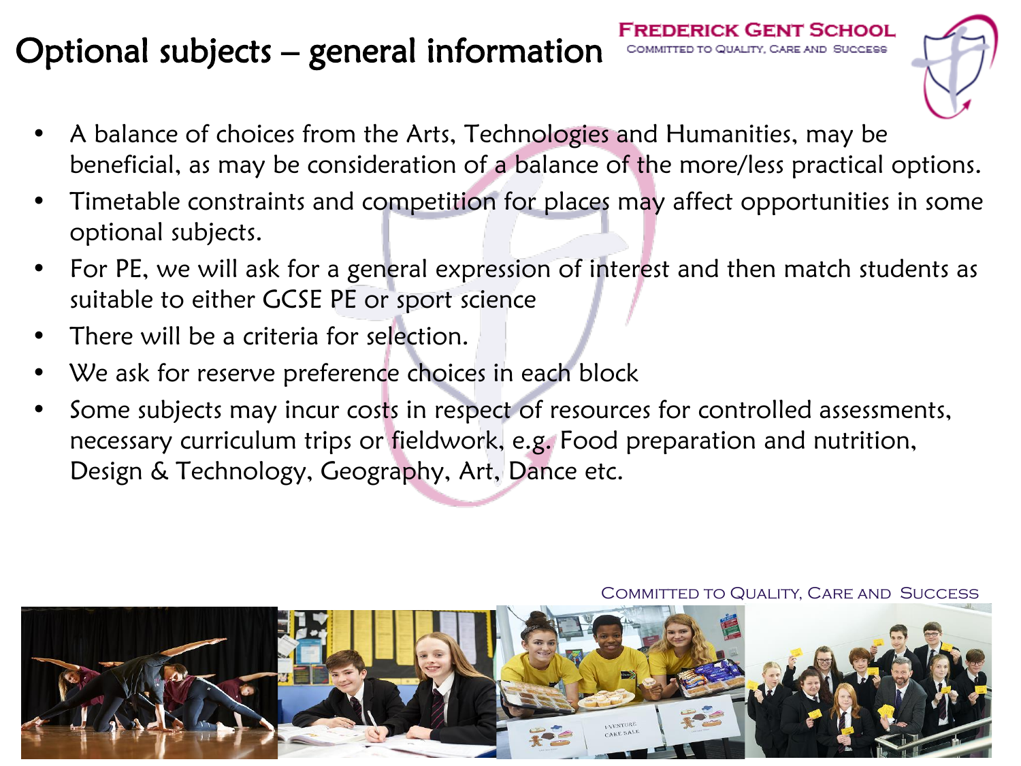### Optional subjects – general information



- A balance of choices from the Arts, Technologies and Humanities, may be beneficial, as may be consideration of a balance of the more/less practical options.
- Timetable constraints and competition for places may affect opportunities in some optional subjects.
- For PE, we will ask for a general expression of interest and then match students as suitable to either GCSE PE or sport science
- There will be a criteria for selection.
- We ask for reserve preference choices in each block
- Some subjects may incur costs in respect of resources for controlled assessments, necessary curriculum trips or fieldwork, e.g. Food preparation and nutrition, Design & Technology, Geography, Art, Dance etc.

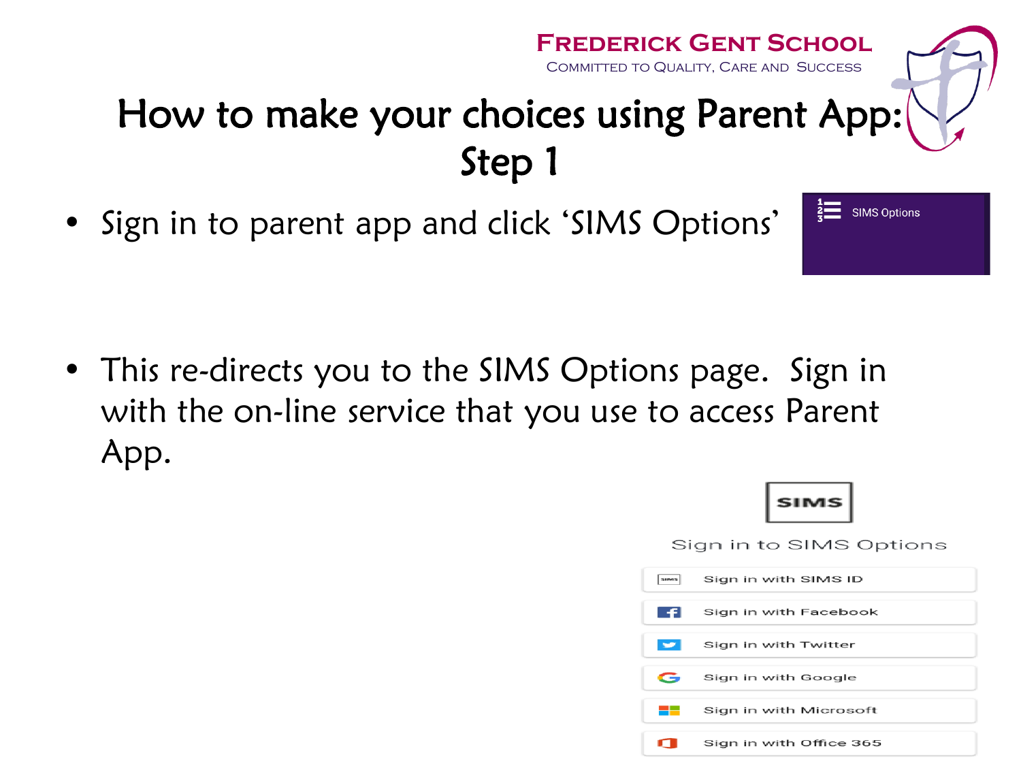### **Frederick Gent School** Committed to Quality, Care and Success How to make your choices using Parent App: Step 1

• Sign in to parent app and click 'SIMS Options'

• This re-directs you to the SIMS Options page. Sign in with the on-line service that you use to access Parent App.





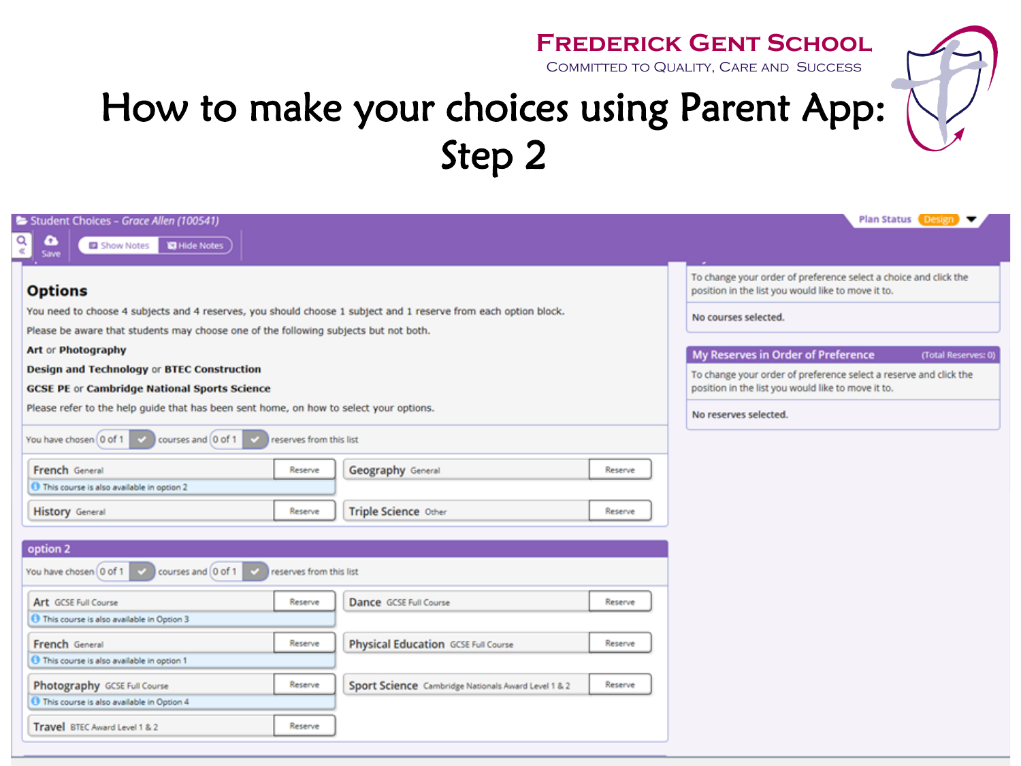Committed to Quality, Care and Success

| Student Choices - Grace Allen (100541)<br>Q<br>$\bullet$<br><b>ISI</b> Hide Notes<br>Show Notes<br>Save                                                                                                                   |                                                                                     | <b>Plan Status Design</b>                                                                                                                                                                                     |
|---------------------------------------------------------------------------------------------------------------------------------------------------------------------------------------------------------------------------|-------------------------------------------------------------------------------------|---------------------------------------------------------------------------------------------------------------------------------------------------------------------------------------------------------------|
| <b>Options</b><br>You need to choose 4 subjects and 4 reserves, you should choose 1 subject and 1 reserve from each option block.<br>Please be aware that students may choose one of the following subjects but not both. |                                                                                     | To change your order of preference select a choice and click the<br>position in the list you would like to move it to.<br>No courses selected.                                                                |
| Art or Photography<br><b>Design and Technology or BTEC Construction</b><br><b>GCSE PE or Cambridge National Sports Science</b><br>Please refer to the help guide that has been sent home, on how to select your options.  |                                                                                     | My Reserves in Order of Preference<br>(Total Reserves: 0)<br>To change your order of preference select a reserve and click the<br>position in the list you would like to move it to.<br>No reserves selected. |
| You have chosen 0 of 1<br>courses and 0 of 1<br>reserves from this list<br>French General<br>Reserve<br><b>O</b> This course is also available in option 2<br><b>History</b> General<br>Reserve                           | Geography General<br>Reserve<br>Triple Science Other<br>Reserve                     |                                                                                                                                                                                                               |
| option 2<br>You have chosen 0 of 1<br>courses and 0 of 1<br>reserves from this list                                                                                                                                       |                                                                                     |                                                                                                                                                                                                               |
| Art GCSE Full Course<br>Reserve<br>This course is also available in Option 3<br>French General<br>Reserve<br>This course is also available in option 1                                                                    | Dance GCSE Full Course<br>Reserve<br>Physical Education GCSE Full Course<br>Reserve |                                                                                                                                                                                                               |
| Photography GCSE Full Course<br>Reserve<br>This course is also available in Option 4                                                                                                                                      | Reserve<br>Sport Science Cambridge Nationals Award Level 1 & 2                      |                                                                                                                                                                                                               |

Travel BTEC Award Level 1 & 2

Reserve

How to make your choices using Parent App:

Step 2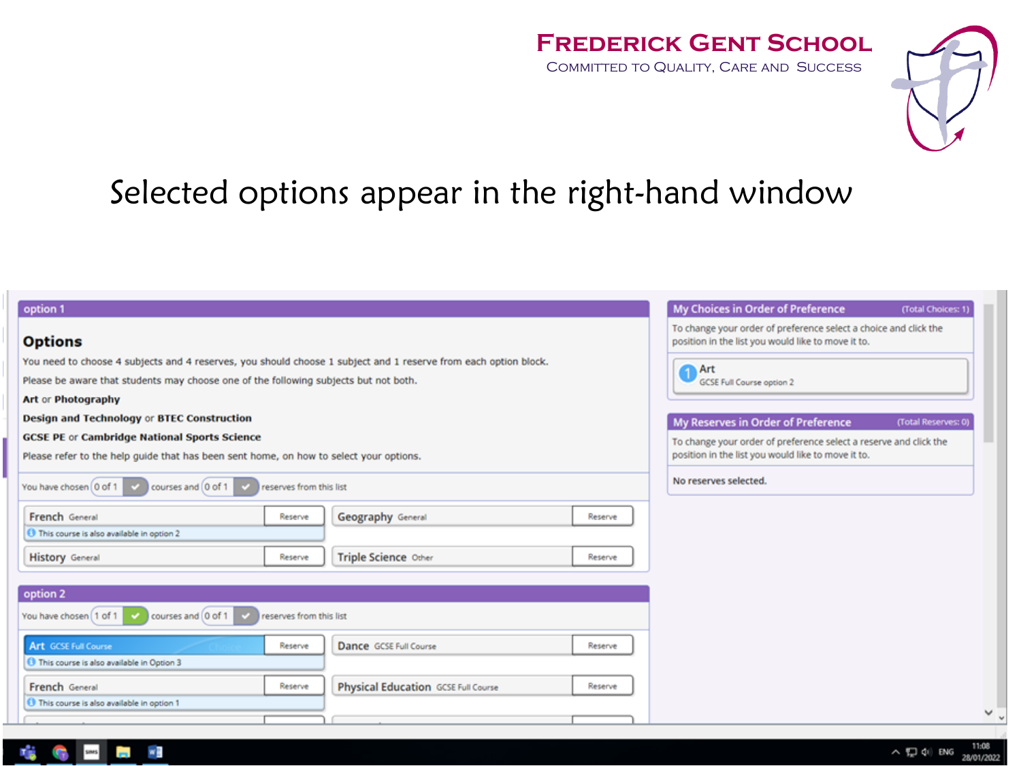Committed to Quality, Care and Success



### Selected options appear in the right-hand window

| option 1                                                                                                                                      | My Choices in Order of Preference<br>(Total Choices: 1)                                                                 |
|-----------------------------------------------------------------------------------------------------------------------------------------------|-------------------------------------------------------------------------------------------------------------------------|
| <b>Options</b>                                                                                                                                | To change your order of preference select a choice and click the<br>position in the list you would like to move it to.  |
| You need to choose 4 subjects and 4 reserves, you should choose 1 subject and 1 reserve from each option block.                               | Art                                                                                                                     |
| Please be aware that students may choose one of the following subjects but not both.                                                          | <b>GCSE Full Course option 2</b>                                                                                        |
| Art or Photography                                                                                                                            |                                                                                                                         |
| <b>Design and Technology or BTEC Construction</b>                                                                                             | My Reserves in Order of Preference<br>(Total Reserves: 0)                                                               |
| <b>GCSE PE or Cambridge National Sports Science</b><br>Please refer to the help guide that has been sent home, on how to select your options. | To change your order of preference select a reserve and click the<br>position in the list you would like to move it to. |
| You have chosen 0 of 1<br>courses and 0 of 1<br>reserves from this list                                                                       | No reserves selected.                                                                                                   |
| French General<br><b>Geography General</b><br>Reserve<br>Reserve<br><b>O</b> This course is also available in option 2                        |                                                                                                                         |
| Triple Science Other<br><b>History</b> General<br>Reserve<br>Reserve                                                                          |                                                                                                                         |
| option 2                                                                                                                                      |                                                                                                                         |
| You have chosen [1 of 1   v<br>courses and 0 of 1<br>reserves from this list                                                                  |                                                                                                                         |
| <b>Art GCSE Full Course</b><br>Dance GCSE Full Course<br>Reserve<br>Reserve                                                                   |                                                                                                                         |
| <b>O</b> This course is also available in Option 3                                                                                            |                                                                                                                         |
| French General<br>Physical Education GCSE Full Course<br>Reserve<br>Reserve                                                                   |                                                                                                                         |
| <b>O</b> This course is also available in option 1                                                                                            | $\checkmark$                                                                                                            |
|                                                                                                                                               |                                                                                                                         |

×B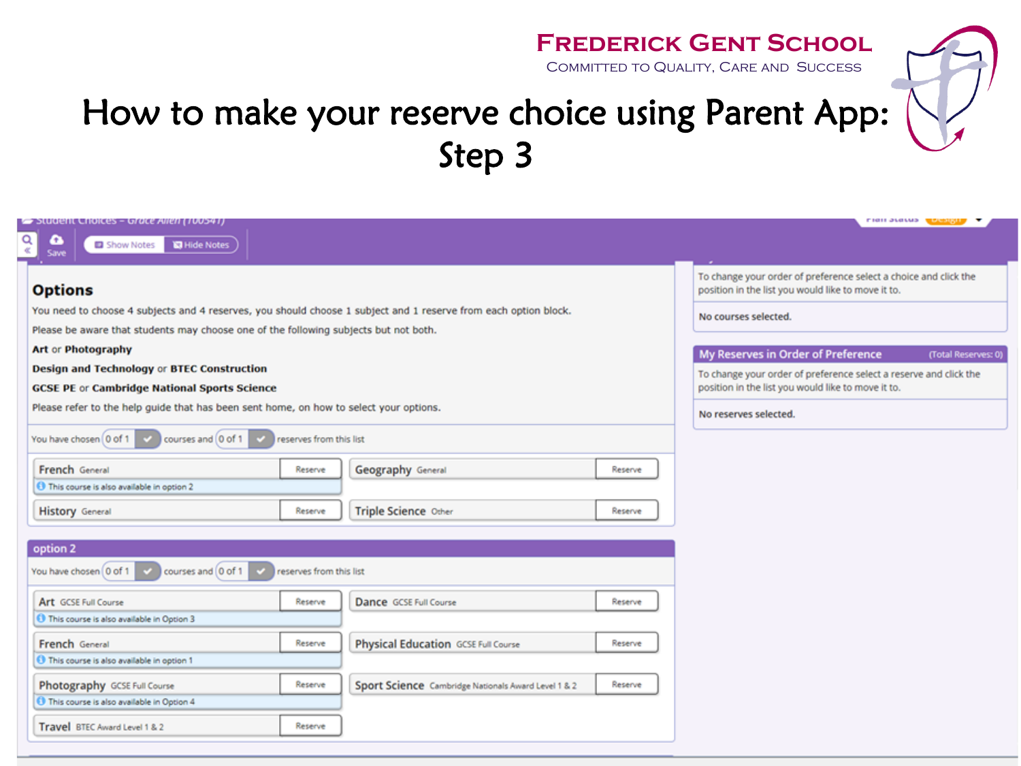Committed to Quality, Care and Success



### How to make your reserve choice using Parent App: Step 3

|                                                                                                                 |                                                     |         | <b>FIGHT SLOVES WEIGHTS</b>                                                                                             |
|-----------------------------------------------------------------------------------------------------------------|-----------------------------------------------------|---------|-------------------------------------------------------------------------------------------------------------------------|
| Student Choices - Grace Allen (100541)<br>œ<br><b>ICI</b> Hide Notes<br>Show Notes                              |                                                     |         |                                                                                                                         |
| Save                                                                                                            |                                                     |         |                                                                                                                         |
| <b>Options</b>                                                                                                  |                                                     |         | To change your order of preference select a choice and click the<br>position in the list you would like to move it to.  |
| You need to choose 4 subjects and 4 reserves, you should choose 1 subject and 1 reserve from each option block. |                                                     |         | No courses selected.                                                                                                    |
| Please be aware that students may choose one of the following subjects but not both.                            |                                                     |         |                                                                                                                         |
| Art or Photography                                                                                              |                                                     |         | My Reserves in Order of Preference<br>(Total Reserves: 0)                                                               |
| Design and Technology or BTEC Construction<br><b>GCSE PE or Cambridge National Sports Science</b>               |                                                     |         | To change your order of preference select a reserve and click the<br>position in the list you would like to move it to. |
| Please refer to the help guide that has been sent home, on how to select your options.                          |                                                     |         | No reserves selected.                                                                                                   |
| You have chosen 0 of 1<br>courses and 0 of 1<br>reserves from this list                                         |                                                     |         |                                                                                                                         |
| French General<br>Reserve                                                                                       | Geography General                                   | Reserve |                                                                                                                         |
| This course is also available in option 2                                                                       |                                                     |         |                                                                                                                         |
| <b>History</b> General<br>Reserve                                                                               | Triple Science Other                                | Reserve |                                                                                                                         |
| option 2                                                                                                        |                                                     |         |                                                                                                                         |
| You have chosen 0 of 1<br>courses and 0 of 1<br>reserves from this list                                         |                                                     |         |                                                                                                                         |
| Art GCSE Full Course<br>Reserve                                                                                 | Dance GCSE Full Course                              | Reserve |                                                                                                                         |
| <b>O</b> This course is also available in Option 3                                                              |                                                     |         |                                                                                                                         |
| French General<br>Reserve                                                                                       | Physical Education GCSE Full Course                 | Reserve |                                                                                                                         |
| This course is also available in option 1                                                                       |                                                     |         |                                                                                                                         |
| Photography GCSE Full Course<br>Reserve                                                                         | Sport Science Cambridge Nationals Award Level 1 & 2 | Reserve |                                                                                                                         |
| This course is also available in Option 4                                                                       |                                                     |         |                                                                                                                         |
| Travel BTEC Award Level 1 & 2<br>Reserve                                                                        |                                                     |         |                                                                                                                         |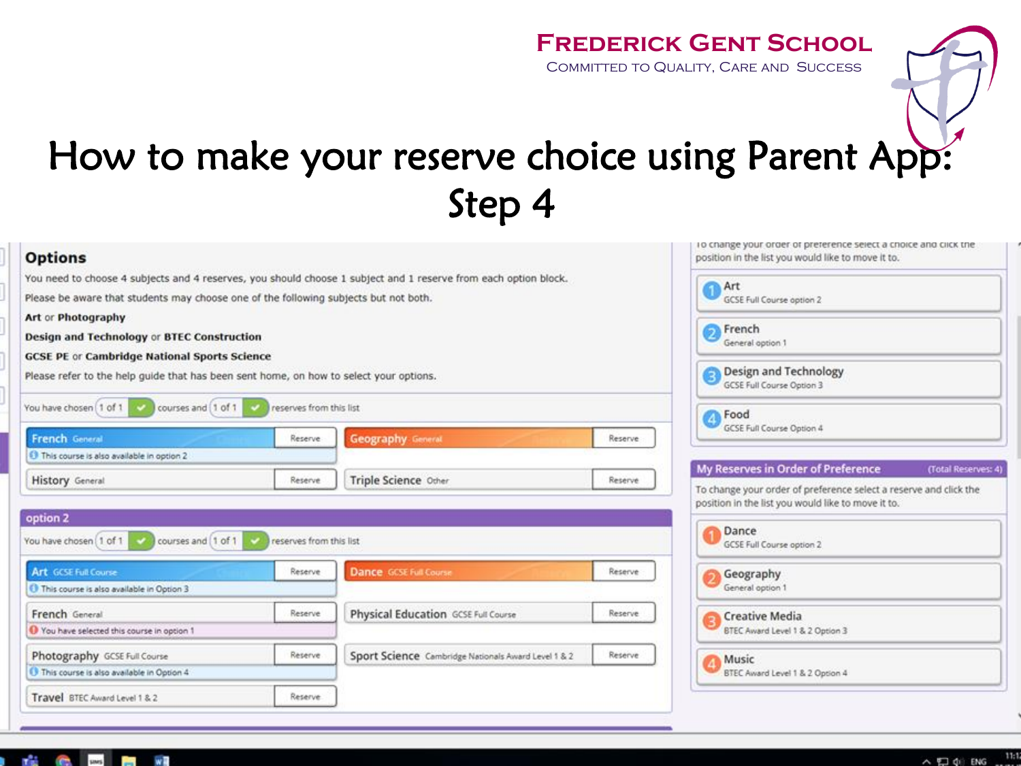Committed to Quality, Care and Success

### How to make your reserve choice using Parent App: Step 4

| <b>Options</b>                                                                         |                                                     |                                                                                                                 |                           | To change your order or preference select a choice and click the<br>position in the list you would like to move it to.  |  |  |
|----------------------------------------------------------------------------------------|-----------------------------------------------------|-----------------------------------------------------------------------------------------------------------------|---------------------------|-------------------------------------------------------------------------------------------------------------------------|--|--|
|                                                                                        |                                                     | You need to choose 4 subjects and 4 reserves, you should choose 1 subject and 1 reserve from each option block. |                           | Art                                                                                                                     |  |  |
| Please be aware that students may choose one of the following subjects but not both.   |                                                     |                                                                                                                 | GCSE Full Course option 2 |                                                                                                                         |  |  |
| Art or Photography                                                                     |                                                     |                                                                                                                 |                           |                                                                                                                         |  |  |
| Design and Technology or BTEC Construction                                             |                                                     |                                                                                                                 |                           | French<br>Э<br>General option 1                                                                                         |  |  |
| <b>GCSE PE or Cambridge National Sports Science</b>                                    |                                                     |                                                                                                                 |                           |                                                                                                                         |  |  |
| Please refer to the help quide that has been sent home, on how to select your options. |                                                     |                                                                                                                 |                           | Design and Technology<br>GCSE Full Course Option 3                                                                      |  |  |
| You have chosen   1 of 1<br>courses and [1 of 1                                        | reserves from this list                             |                                                                                                                 |                           | Food                                                                                                                    |  |  |
| <b>French General</b>                                                                  | Reserve                                             | <b>Geography General</b>                                                                                        | Reserve                   | GCSE Full Course Option 4                                                                                               |  |  |
| 1 This course is also available in option 2                                            |                                                     |                                                                                                                 |                           |                                                                                                                         |  |  |
| <b>History</b> General                                                                 | Reserve                                             | Triple Science Other                                                                                            | Reserve                   | My Reserves in Order of Preference<br>(Total Reserves: 4)                                                               |  |  |
|                                                                                        |                                                     |                                                                                                                 |                           | To change your order of preference select a reserve and click the<br>position in the list you would like to move it to. |  |  |
| option 2                                                                               |                                                     |                                                                                                                 |                           | Dance                                                                                                                   |  |  |
| courses and [1 of 1<br>You have chosen [1 of 1]                                        | reserves from this list                             |                                                                                                                 |                           | GCSE Full Course option 2                                                                                               |  |  |
| Art GCSE Full Course                                                                   | <b>Dance</b> GCSE Full Course<br>Reserve<br>Reserve |                                                                                                                 | Geography                 |                                                                                                                         |  |  |
| This course is also available in Option 3                                              |                                                     |                                                                                                                 |                           | General option 1                                                                                                        |  |  |
| French General                                                                         | Reserve                                             | Physical Education GCSE Full Course                                                                             | Reserve                   | <b>Creative Media</b>                                                                                                   |  |  |
| Vou have selected this course in option 1                                              |                                                     |                                                                                                                 |                           | BTEC Award Level 1 & 2 Option 3                                                                                         |  |  |
| Photography GCSE Full Course                                                           | Reserve                                             | Sport Science Cambridge Nationals Award Level 1 & 2                                                             | Reserve                   | Music                                                                                                                   |  |  |
| This course is also available in Option 4                                              |                                                     |                                                                                                                 |                           | BTEC Award Level 1 & 2 Option 4                                                                                         |  |  |
| Travel BTEC Award Level 1 & 2                                                          | Reserve.                                            |                                                                                                                 |                           |                                                                                                                         |  |  |

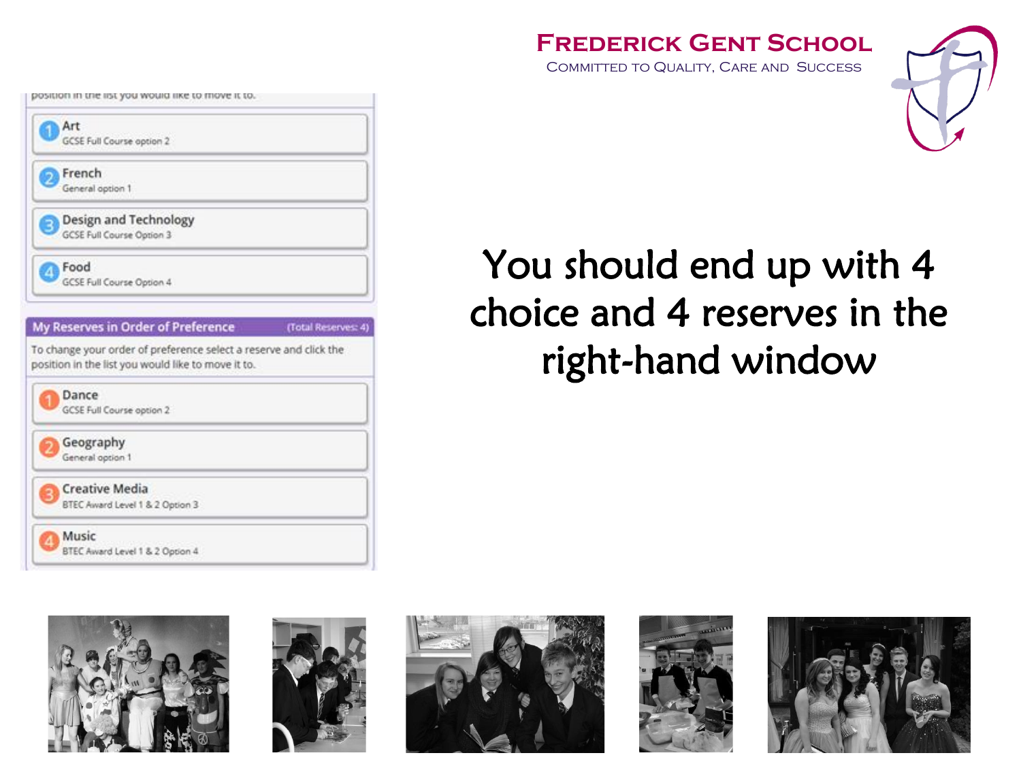COMMITTED TO QUALITY, CARE AND SUCCESS



### You should end up with 4 choice and 4 reserves in the right-hand window



position in the list you would like to move it to.

GCSE Full Course option 2

**Design and Technology** GCSE Full Course Option 3

GCSE Full Course Option 4

Art

ő.

French

Food 4

General option 1









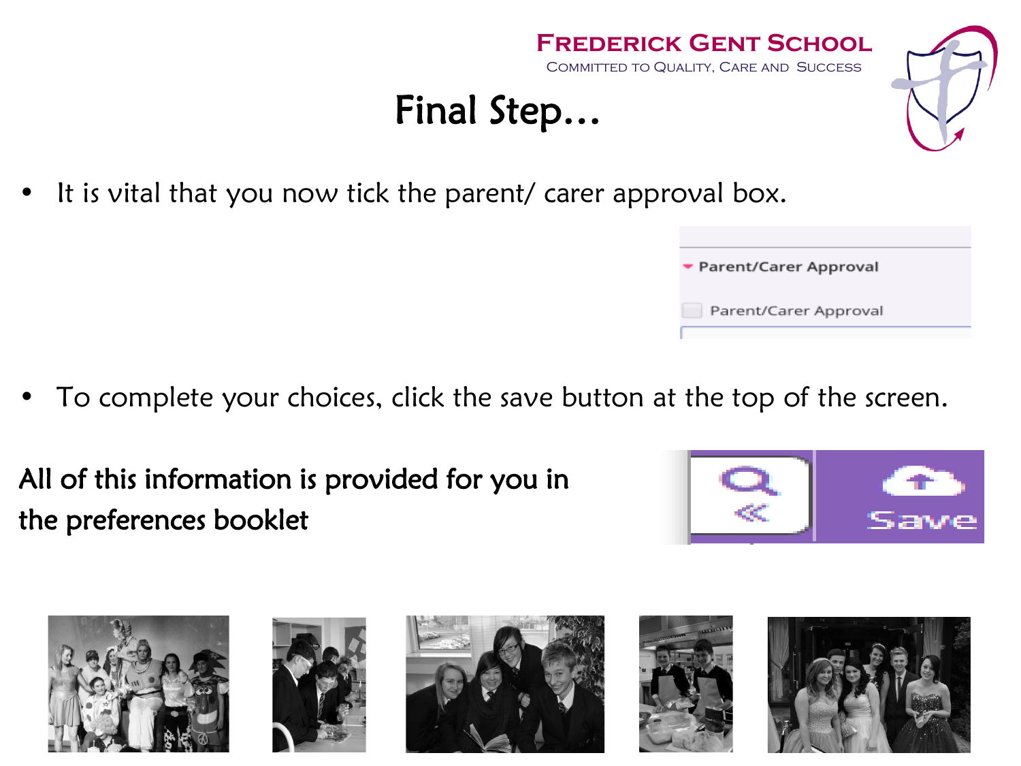

- To complete your choices, click the save button at the top of the screen.
- All of this information is provided for you in the preferences booklet









**Frederick Gent School** COMMITTED TO QUALITY, CARE AND SUCCESS









# Final Step…